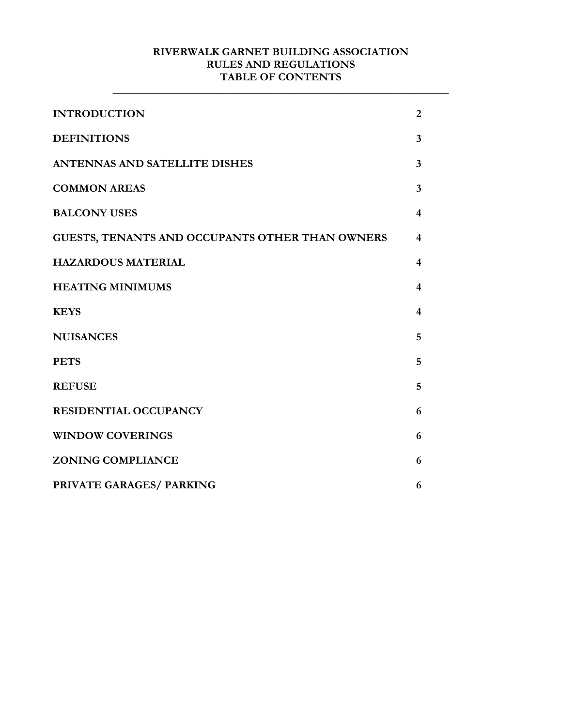#### **RIVERWALK GARNET BUILDING ASSOCIATION RULES AND REGULATIONS TABLE OF CONTENTS**

**\_\_\_\_\_\_\_\_\_\_\_\_\_\_\_\_\_\_\_\_\_\_\_\_\_\_\_\_\_\_\_\_\_\_\_\_\_\_\_\_\_\_\_\_\_\_\_\_\_\_\_\_\_\_\_\_\_\_\_\_\_** 

| <b>INTRODUCTION</b>                             | $\overline{2}$          |
|-------------------------------------------------|-------------------------|
| <b>DEFINITIONS</b>                              | 3                       |
| <b>ANTENNAS AND SATELLITE DISHES</b>            | 3                       |
| <b>COMMON AREAS</b>                             | 3                       |
| <b>BALCONY USES</b>                             | 4                       |
| GUESTS, TENANTS AND OCCUPANTS OTHER THAN OWNERS | $\boldsymbol{4}$        |
| <b>HAZARDOUS MATERIAL</b>                       | 4                       |
| <b>HEATING MINIMUMS</b>                         | $\overline{\mathbf{4}}$ |
| <b>KEYS</b>                                     | 4                       |
| <b>NUISANCES</b>                                | 5                       |
| <b>PETS</b>                                     | 5                       |
| <b>REFUSE</b>                                   | 5                       |
| <b>RESIDENTIAL OCCUPANCY</b>                    | 6                       |
| <b>WINDOW COVERINGS</b>                         | 6                       |
| <b>ZONING COMPLIANCE</b>                        | 6                       |
| PRIVATE GARAGES/ PARKING                        | 6                       |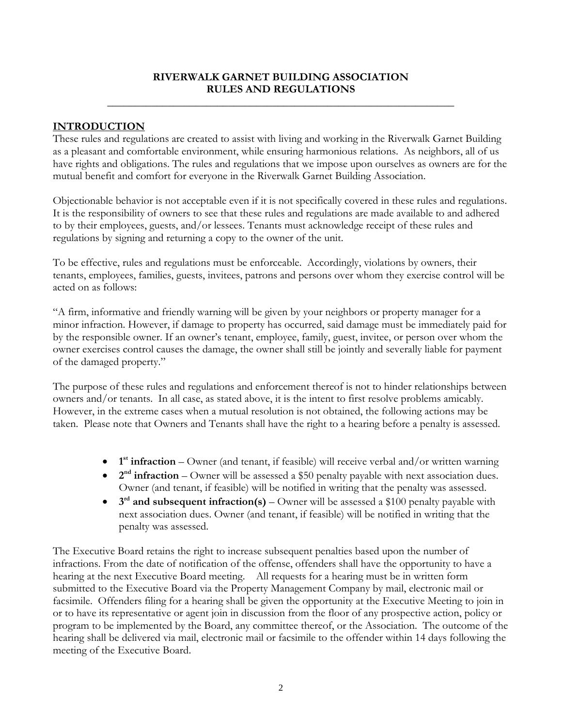#### **RIVERWALK GARNET BUILDING ASSOCIATION RULES AND REGULATIONS**

**\_\_\_\_\_\_\_\_\_\_\_\_\_\_\_\_\_\_\_\_\_\_\_\_\_\_\_\_\_\_\_\_\_\_\_\_\_\_\_\_\_\_\_\_\_\_\_\_\_\_\_\_\_\_\_\_\_\_\_\_\_\_\_** 

#### **INTRODUCTION**

These rules and regulations are created to assist with living and working in the Riverwalk Garnet Building as a pleasant and comfortable environment, while ensuring harmonious relations. As neighbors, all of us have rights and obligations. The rules and regulations that we impose upon ourselves as owners are for the mutual benefit and comfort for everyone in the Riverwalk Garnet Building Association.

Objectionable behavior is not acceptable even if it is not specifically covered in these rules and regulations. It is the responsibility of owners to see that these rules and regulations are made available to and adhered to by their employees, guests, and/or lessees. Tenants must acknowledge receipt of these rules and regulations by signing and returning a copy to the owner of the unit.

To be effective, rules and regulations must be enforceable. Accordingly, violations by owners, their tenants, employees, families, guests, invitees, patrons and persons over whom they exercise control will be acted on as follows:

"A firm, informative and friendly warning will be given by your neighbors or property manager for a minor infraction. However, if damage to property has occurred, said damage must be immediately paid for by the responsible owner. If an owner's tenant, employee, family, guest, invitee, or person over whom the owner exercises control causes the damage, the owner shall still be jointly and severally liable for payment of the damaged property."

The purpose of these rules and regulations and enforcement thereof is not to hinder relationships between owners and/or tenants. In all case, as stated above, it is the intent to first resolve problems amicably. However, in the extreme cases when a mutual resolution is not obtained, the following actions may be taken. Please note that Owners and Tenants shall have the right to a hearing before a penalty is assessed.

- **1 st infraction** Owner (and tenant, if feasible) will receive verbal and/or written warning
- **2nd infraction** Owner will be assessed a \$50 penalty payable with next association dues. Owner (and tenant, if feasible) will be notified in writing that the penalty was assessed.
- **3rd and subsequent infraction(s)** Owner will be assessed a \$100 penalty payable with next association dues. Owner (and tenant, if feasible) will be notified in writing that the penalty was assessed.

The Executive Board retains the right to increase subsequent penalties based upon the number of infractions. From the date of notification of the offense, offenders shall have the opportunity to have a hearing at the next Executive Board meeting. All requests for a hearing must be in written form submitted to the Executive Board via the Property Management Company by mail, electronic mail or facsimile. Offenders filing for a hearing shall be given the opportunity at the Executive Meeting to join in or to have its representative or agent join in discussion from the floor of any prospective action, policy or program to be implemented by the Board, any committee thereof, or the Association. The outcome of the hearing shall be delivered via mail, electronic mail or facsimile to the offender within 14 days following the meeting of the Executive Board.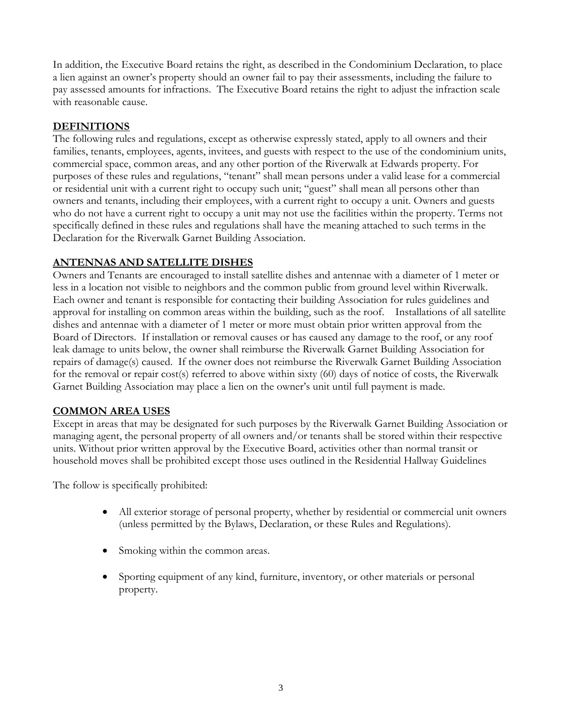In addition, the Executive Board retains the right, as described in the Condominium Declaration, to place a lien against an owner's property should an owner fail to pay their assessments, including the failure to pay assessed amounts for infractions. The Executive Board retains the right to adjust the infraction scale with reasonable cause.

#### **DEFINITIONS**

The following rules and regulations, except as otherwise expressly stated, apply to all owners and their families, tenants, employees, agents, invitees, and guests with respect to the use of the condominium units, commercial space, common areas, and any other portion of the Riverwalk at Edwards property. For purposes of these rules and regulations, "tenant" shall mean persons under a valid lease for a commercial or residential unit with a current right to occupy such unit; "guest" shall mean all persons other than owners and tenants, including their employees, with a current right to occupy a unit. Owners and guests who do not have a current right to occupy a unit may not use the facilities within the property. Terms not specifically defined in these rules and regulations shall have the meaning attached to such terms in the Declaration for the Riverwalk Garnet Building Association.

#### **ANTENNAS AND SATELLITE DISHES**

Owners and Tenants are encouraged to install satellite dishes and antennae with a diameter of 1 meter or less in a location not visible to neighbors and the common public from ground level within Riverwalk. Each owner and tenant is responsible for contacting their building Association for rules guidelines and approval for installing on common areas within the building, such as the roof. Installations of all satellite dishes and antennae with a diameter of 1 meter or more must obtain prior written approval from the Board of Directors. If installation or removal causes or has caused any damage to the roof, or any roof leak damage to units below, the owner shall reimburse the Riverwalk Garnet Building Association for repairs of damage(s) caused. If the owner does not reimburse the Riverwalk Garnet Building Association for the removal or repair cost(s) referred to above within sixty (60) days of notice of costs, the Riverwalk Garnet Building Association may place a lien on the owner's unit until full payment is made.

# **COMMON AREA USES**

Except in areas that may be designated for such purposes by the Riverwalk Garnet Building Association or managing agent, the personal property of all owners and/or tenants shall be stored within their respective units. Without prior written approval by the Executive Board, activities other than normal transit or household moves shall be prohibited except those uses outlined in the Residential Hallway Guidelines

The follow is specifically prohibited:

- All exterior storage of personal property, whether by residential or commercial unit owners (unless permitted by the Bylaws, Declaration, or these Rules and Regulations).
- Smoking within the common areas.
- Sporting equipment of any kind, furniture, inventory, or other materials or personal property.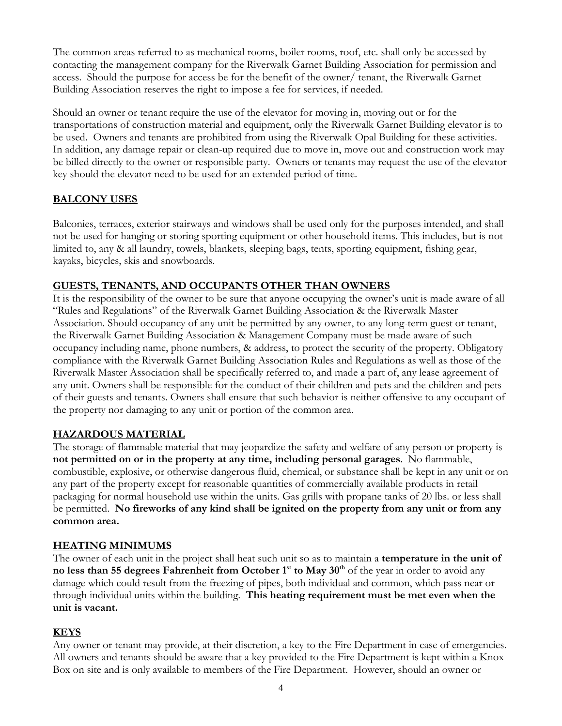The common areas referred to as mechanical rooms, boiler rooms, roof, etc. shall only be accessed by contacting the management company for the Riverwalk Garnet Building Association for permission and access. Should the purpose for access be for the benefit of the owner/ tenant, the Riverwalk Garnet Building Association reserves the right to impose a fee for services, if needed.

Should an owner or tenant require the use of the elevator for moving in, moving out or for the transportations of construction material and equipment, only the Riverwalk Garnet Building elevator is to be used. Owners and tenants are prohibited from using the Riverwalk Opal Building for these activities. In addition, any damage repair or clean-up required due to move in, move out and construction work may be billed directly to the owner or responsible party. Owners or tenants may request the use of the elevator key should the elevator need to be used for an extended period of time.

# **BALCONY USES**

Balconies, terraces, exterior stairways and windows shall be used only for the purposes intended, and shall not be used for hanging or storing sporting equipment or other household items. This includes, but is not limited to, any & all laundry, towels, blankets, sleeping bags, tents, sporting equipment, fishing gear, kayaks, bicycles, skis and snowboards.

# **GUESTS, TENANTS, AND OCCUPANTS OTHER THAN OWNERS**

It is the responsibility of the owner to be sure that anyone occupying the owner's unit is made aware of all "Rules and Regulations" of the Riverwalk Garnet Building Association & the Riverwalk Master Association. Should occupancy of any unit be permitted by any owner, to any long-term guest or tenant, the Riverwalk Garnet Building Association & Management Company must be made aware of such occupancy including name, phone numbers, & address, to protect the security of the property. Obligatory compliance with the Riverwalk Garnet Building Association Rules and Regulations as well as those of the Riverwalk Master Association shall be specifically referred to, and made a part of, any lease agreement of any unit. Owners shall be responsible for the conduct of their children and pets and the children and pets of their guests and tenants. Owners shall ensure that such behavior is neither offensive to any occupant of the property nor damaging to any unit or portion of the common area.

# **HAZARDOUS MATERIAL**

The storage of flammable material that may jeopardize the safety and welfare of any person or property is **not permitted on or in the property at any time, including personal garages**. No flammable, combustible, explosive, or otherwise dangerous fluid, chemical, or substance shall be kept in any unit or on any part of the property except for reasonable quantities of commercially available products in retail packaging for normal household use within the units. Gas grills with propane tanks of 20 lbs. or less shall be permitted. **No fireworks of any kind shall be ignited on the property from any unit or from any common area.** 

# **HEATING MINIMUMS**

The owner of each unit in the project shall heat such unit so as to maintain a **temperature in the unit of no less than 55 degrees Fahrenheit from October 1<sup>st</sup> to May 30<sup>th</sup> of the year in order to avoid any** damage which could result from the freezing of pipes, both individual and common, which pass near or through individual units within the building. **This heating requirement must be met even when the unit is vacant.** 

# **KEYS**

Any owner or tenant may provide, at their discretion, a key to the Fire Department in case of emergencies. All owners and tenants should be aware that a key provided to the Fire Department is kept within a Knox Box on site and is only available to members of the Fire Department. However, should an owner or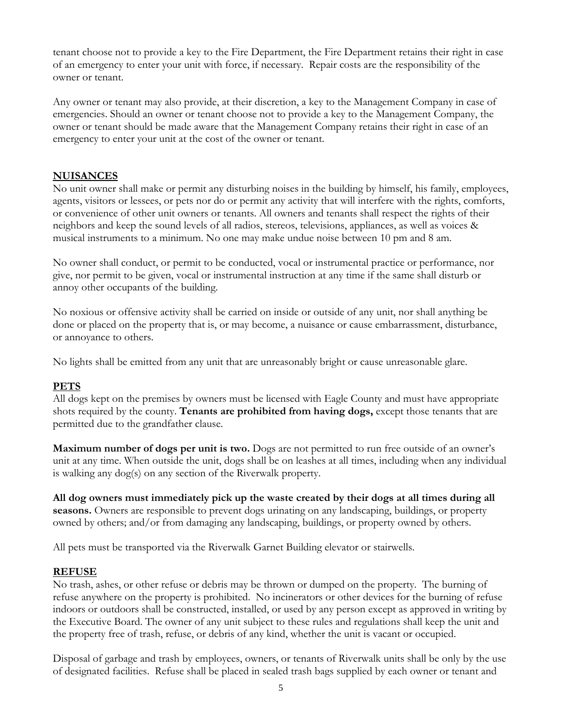tenant choose not to provide a key to the Fire Department, the Fire Department retains their right in case of an emergency to enter your unit with force, if necessary. Repair costs are the responsibility of the owner or tenant.

Any owner or tenant may also provide, at their discretion, a key to the Management Company in case of emergencies. Should an owner or tenant choose not to provide a key to the Management Company, the owner or tenant should be made aware that the Management Company retains their right in case of an emergency to enter your unit at the cost of the owner or tenant.

# **NUISANCES**

No unit owner shall make or permit any disturbing noises in the building by himself, his family, employees, agents, visitors or lessees, or pets nor do or permit any activity that will interfere with the rights, comforts, or convenience of other unit owners or tenants. All owners and tenants shall respect the rights of their neighbors and keep the sound levels of all radios, stereos, televisions, appliances, as well as voices & musical instruments to a minimum. No one may make undue noise between 10 pm and 8 am.

No owner shall conduct, or permit to be conducted, vocal or instrumental practice or performance, nor give, nor permit to be given, vocal or instrumental instruction at any time if the same shall disturb or annoy other occupants of the building.

No noxious or offensive activity shall be carried on inside or outside of any unit, nor shall anything be done or placed on the property that is, or may become, a nuisance or cause embarrassment, disturbance, or annoyance to others.

No lights shall be emitted from any unit that are unreasonably bright or cause unreasonable glare.

# **PETS**

All dogs kept on the premises by owners must be licensed with Eagle County and must have appropriate shots required by the county. **Tenants are prohibited from having dogs,** except those tenants that are permitted due to the grandfather clause.

**Maximum number of dogs per unit is two.** Dogs are not permitted to run free outside of an owner's unit at any time. When outside the unit, dogs shall be on leashes at all times, including when any individual is walking any dog(s) on any section of the Riverwalk property.

**All dog owners must immediately pick up the waste created by their dogs at all times during all seasons.** Owners are responsible to prevent dogs urinating on any landscaping, buildings, or property owned by others; and/or from damaging any landscaping, buildings, or property owned by others.

All pets must be transported via the Riverwalk Garnet Building elevator or stairwells.

# **REFUSE**

No trash, ashes, or other refuse or debris may be thrown or dumped on the property. The burning of refuse anywhere on the property is prohibited. No incinerators or other devices for the burning of refuse indoors or outdoors shall be constructed, installed, or used by any person except as approved in writing by the Executive Board. The owner of any unit subject to these rules and regulations shall keep the unit and the property free of trash, refuse, or debris of any kind, whether the unit is vacant or occupied.

Disposal of garbage and trash by employees, owners, or tenants of Riverwalk units shall be only by the use of designated facilities. Refuse shall be placed in sealed trash bags supplied by each owner or tenant and